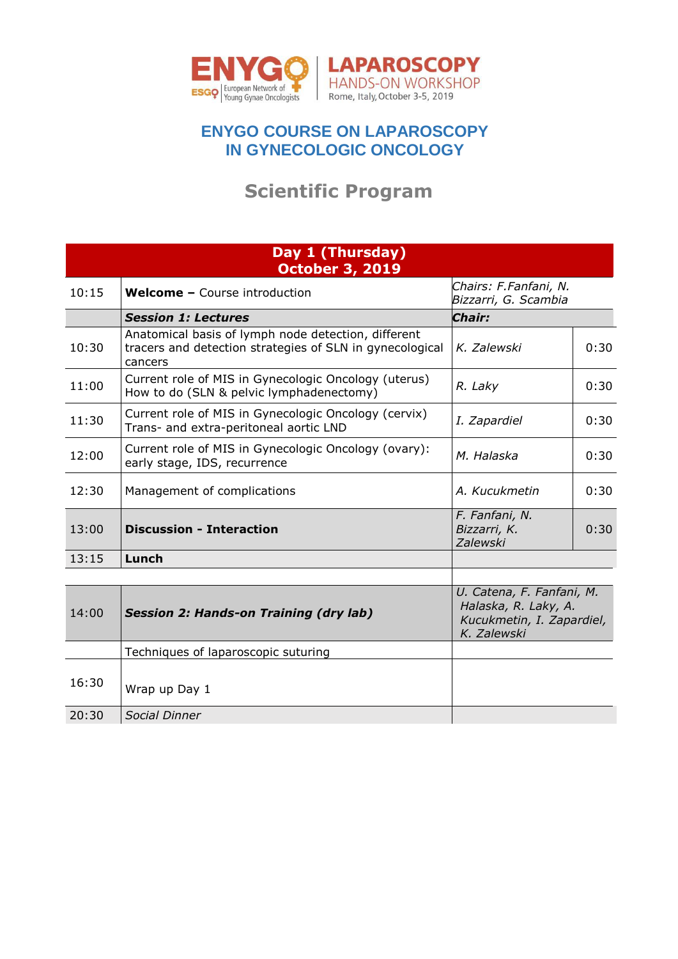

## **ENYGO COURSE ON LAPAROSCOPY IN GYNECOLOGIC ONCOLOGY**

## **Scientific Program**

## How to do (SLN & pelvic lymphadenectomy – Michael Halaska**) Day 1 (Thursday)** 11:15 a.m. Current role of MIS in Gynecologic Oncology (2 - ovary) (Anna Fagotti & Ignacio **October 3, 2019**

Halaska)

16:30 Wrap up Day 1

20:30 *Social Dinner*

| 10:15 | <b>Welcome - Course introduction</b>                                                                                       | Chairs: F.Fanfani, N.<br>Bizzarri, G. Scambia                                                 |      |
|-------|----------------------------------------------------------------------------------------------------------------------------|-----------------------------------------------------------------------------------------------|------|
|       | <b>Session 1: Lectures</b>                                                                                                 | Chair:                                                                                        |      |
| 10:30 | Anatomical basis of lymph node detection, different<br>tracers and detection strategies of SLN in gynecological<br>cancers | K. Zalewski                                                                                   | 0:30 |
| 11:00 | Current role of MIS in Gynecologic Oncology (uterus)<br>How to do (SLN & pelvic lymphadenectomy)                           | R. Laky                                                                                       | 0:30 |
| 11:30 | Current role of MIS in Gynecologic Oncology (cervix)<br>Trans- and extra-peritoneal aortic LND                             | I. Zapardiel                                                                                  | 0:30 |
| 12:00 | Current role of MIS in Gynecologic Oncology (ovary):<br>early stage, IDS, recurrence                                       | M. Halaska                                                                                    | 0:30 |
| 12:30 | Management of complications                                                                                                | A. Kucukmetin                                                                                 | 0:30 |
| 13:00 | <b>Discussion - Interaction</b>                                                                                            | F. Fanfani, N.<br>Bizzarri, K.<br>Zalewski                                                    | 0:30 |
| 13:15 | Lunch                                                                                                                      |                                                                                               |      |
|       |                                                                                                                            |                                                                                               |      |
| 14:00 | <b>Session 2: Hands-on Training (dry lab)</b>                                                                              | U. Catena, F. Fanfani, M.<br>Halaska, R. Laky, A.<br>Kucukmetin, I. Zapardiel,<br>K. Zalewski |      |
|       | Techniques of laparoscopic suturing                                                                                        |                                                                                               |      |

8:30 a.m. **Live surgery from two concomitant operating rooms & discussion.**